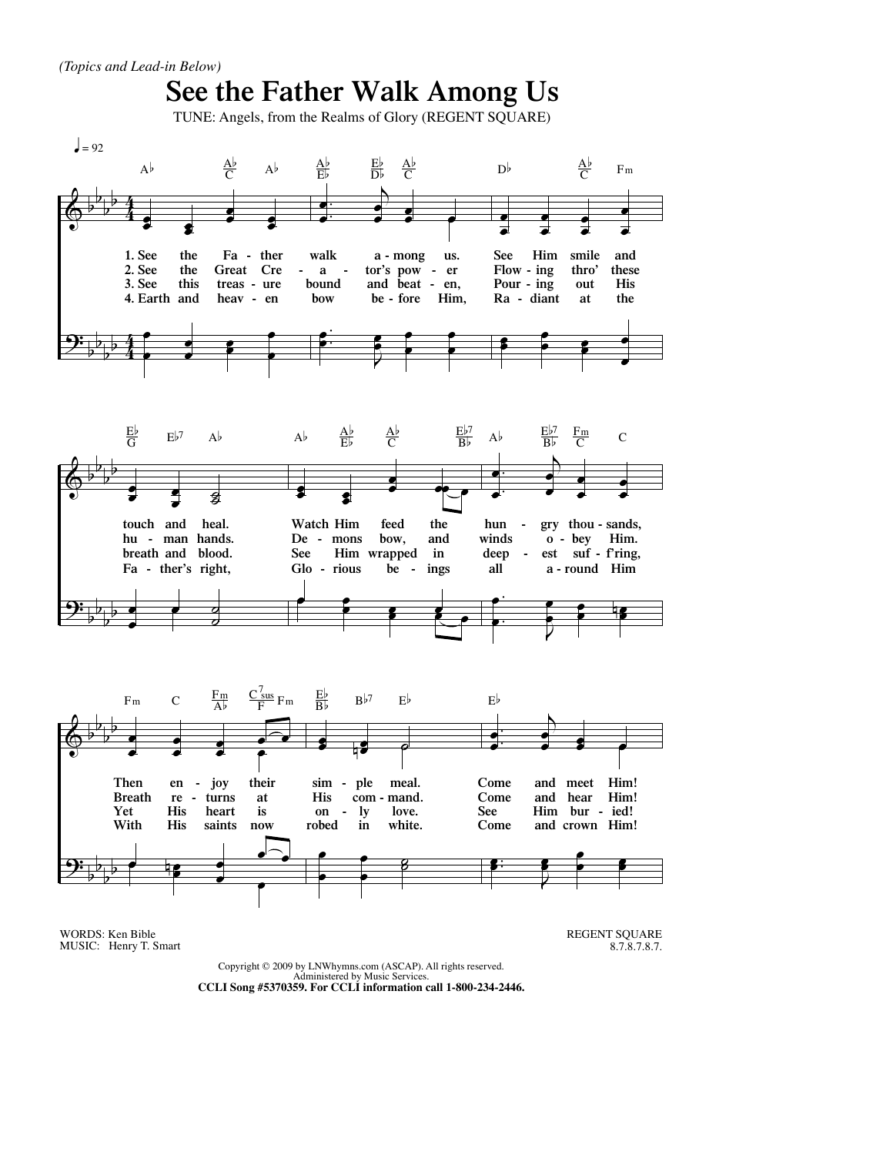



WORDS: Ken Bible MUSIC: Henry T. Smart REGENT SQUARE 8.7.8.7.8.7.

Copyright © 2009 by LNWhymns.com (ASCAP). All rights reserved. Administered by Music Services. **CCLI Song #5370359. For CCLI information call 1-800-234-2446.**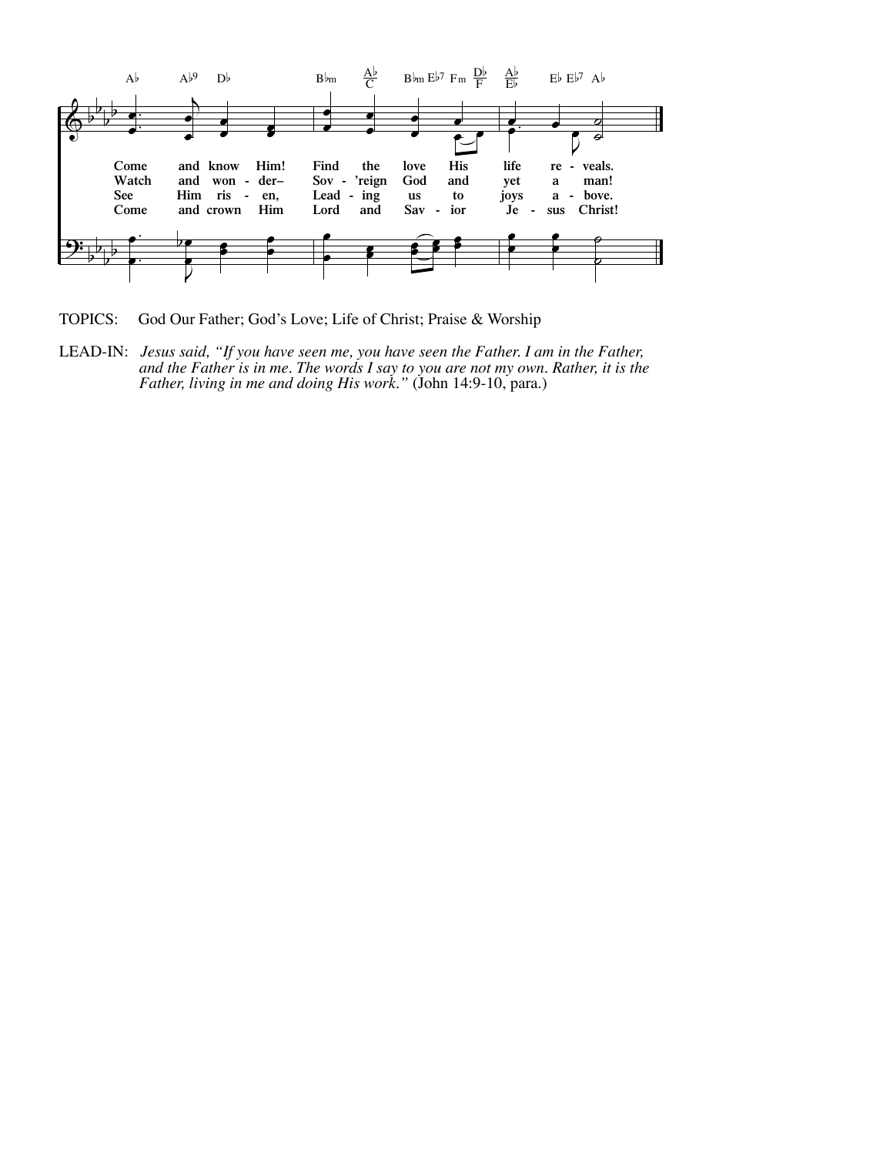

TOPICS: God Our Father; God's Love; Life of Christ; Praise & Worship

LEAD-IN: *Jesus said, "If you have seen me, you have seen the Father. I am in the Father, Father, living in me and doing His work."* (John 14:9-10, para.)